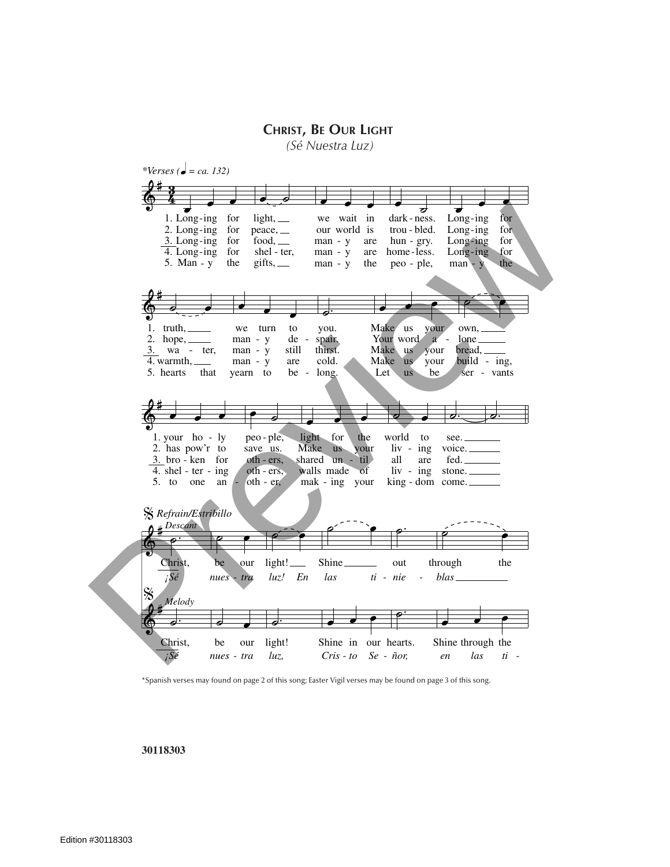**Christ, Be Our Light**

*(Sé Nuestra Luz)*



\*Spanish verses may found on page 2 of this song; Easter Vigil verses may be found on page 3 of this song.

## **30118303**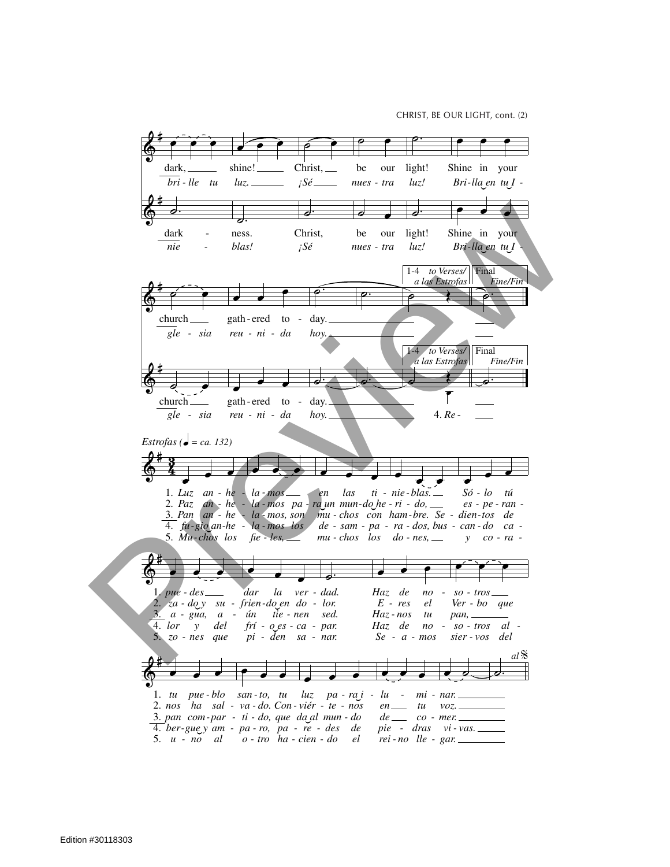CHRIST, BE OUR LIGHT, cont. (2)